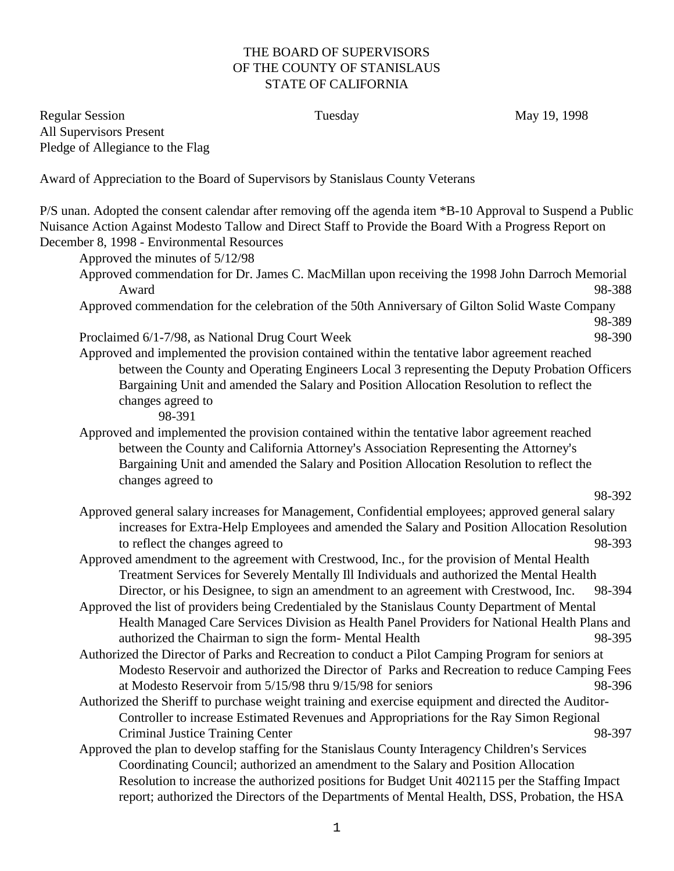## THE BOARD OF SUPERVISORS OF THE COUNTY OF STANISLAUS STATE OF CALIFORNIA

Regular Session **Tuesday** Tuesday May 19, 1998 All Supervisors Present Pledge of Allegiance to the Flag

Award of Appreciation to the Board of Supervisors by Stanislaus County Veterans

P/S unan. Adopted the consent calendar after removing off the agenda item \*B-10 Approval to Suspend a Public Nuisance Action Against Modesto Tallow and Direct Staff to Provide the Board With a Progress Report on December 8, 1998 - Environmental Resources

Approved the minutes of 5/12/98 Approved commendation for Dr. James C. MacMillan upon receiving the 1998 John Darroch Memorial Award 98-388 Approved commendation for the celebration of the 50th Anniversary of Gilton Solid Waste Company 98-389 Proclaimed 6/1-7/98, as National Drug Court Week 98-390 Approved and implemented the provision contained within the tentative labor agreement reached between the County and Operating Engineers Local 3 representing the Deputy Probation Officers Bargaining Unit and amended the Salary and Position Allocation Resolution to reflect the changes agreed to 98-391 Approved and implemented the provision contained within the tentative labor agreement reached between the County and California Attorney's Association Representing the Attorney's Bargaining Unit and amended the Salary and Position Allocation Resolution to reflect the changes agreed to 98-392 Approved general salary increases for Management, Confidential employees; approved general salary increases for Extra-Help Employees and amended the Salary and Position Allocation Resolution to reflect the changes agreed to 98-393 Approved amendment to the agreement with Crestwood, Inc., for the provision of Mental Health Treatment Services for Severely Mentally Ill Individuals and authorized the Mental Health Director, or his Designee, to sign an amendment to an agreement with Crestwood, Inc. 98-394 Approved the list of providers being Credentialed by the Stanislaus County Department of Mental Health Managed Care Services Division as Health Panel Providers for National Health Plans and authorized the Chairman to sign the form- Mental Health 98-395 Authorized the Director of Parks and Recreation to conduct a Pilot Camping Program for seniors at Modesto Reservoir and authorized the Director of Parks and Recreation to reduce Camping Fees at Modesto Reservoir from 5/15/98 thru 9/15/98 for seniors 98-396 Authorized the Sheriff to purchase weight training and exercise equipment and directed the Auditor-Controller to increase Estimated Revenues and Appropriations for the Ray Simon Regional Criminal Justice Training Center 98-397 Approved the plan to develop staffing for the Stanislaus County Interagency Children's Services

Coordinating Council; authorized an amendment to the Salary and Position Allocation Resolution to increase the authorized positions for Budget Unit 402115 per the Staffing Impact report; authorized the Directors of the Departments of Mental Health, DSS, Probation, the HSA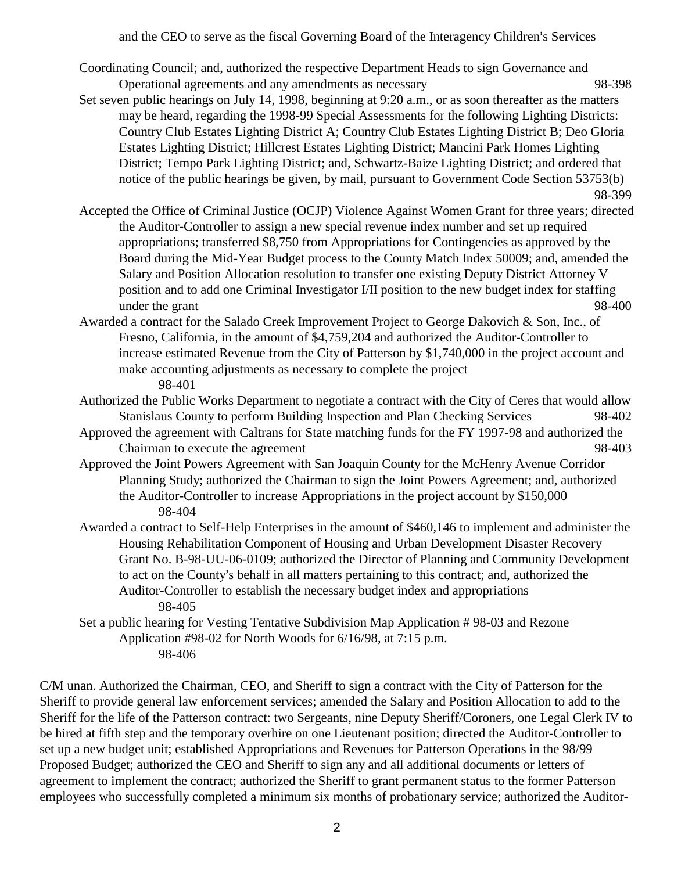and the CEO to serve as the fiscal Governing Board of the Interagency Children's Services

- Coordinating Council; and, authorized the respective Department Heads to sign Governance and Operational agreements and any amendments as necessary 98-398
- Set seven public hearings on July 14, 1998, beginning at 9:20 a.m., or as soon thereafter as the matters may be heard, regarding the 1998-99 Special Assessments for the following Lighting Districts: Country Club Estates Lighting District A; Country Club Estates Lighting District B; Deo Gloria Estates Lighting District; Hillcrest Estates Lighting District; Mancini Park Homes Lighting District; Tempo Park Lighting District; and, Schwartz-Baize Lighting District; and ordered that notice of the public hearings be given, by mail, pursuant to Government Code Section 53753(b) 98-399

Accepted the Office of Criminal Justice (OCJP) Violence Against Women Grant for three years; directed the Auditor-Controller to assign a new special revenue index number and set up required appropriations; transferred \$8,750 from Appropriations for Contingencies as approved by the Board during the Mid-Year Budget process to the County Match Index 50009; and, amended the Salary and Position Allocation resolution to transfer one existing Deputy District Attorney V position and to add one Criminal Investigator I/II position to the new budget index for staffing under the grant 98-400

- Awarded a contract for the Salado Creek Improvement Project to George Dakovich & Son, Inc., of Fresno, California, in the amount of \$4,759,204 and authorized the Auditor-Controller to increase estimated Revenue from the City of Patterson by \$1,740,000 in the project account and make accounting adjustments as necessary to complete the project 98-401
- Authorized the Public Works Department to negotiate a contract with the City of Ceres that would allow Stanislaus County to perform Building Inspection and Plan Checking Services 98-402
- Approved the agreement with Caltrans for State matching funds for the FY 1997-98 and authorized the Chairman to execute the agreement 98-403
- Approved the Joint Powers Agreement with San Joaquin County for the McHenry Avenue Corridor Planning Study; authorized the Chairman to sign the Joint Powers Agreement; and, authorized the Auditor-Controller to increase Appropriations in the project account by \$150,000 98-404
- Awarded a contract to Self-Help Enterprises in the amount of \$460,146 to implement and administer the Housing Rehabilitation Component of Housing and Urban Development Disaster Recovery Grant No. B-98-UU-06-0109; authorized the Director of Planning and Community Development to act on the County's behalf in all matters pertaining to this contract; and, authorized the Auditor-Controller to establish the necessary budget index and appropriations 98-405
- Set a public hearing for Vesting Tentative Subdivision Map Application # 98-03 and Rezone Application #98-02 for North Woods for 6/16/98, at 7:15 p.m. 98-406

C/M unan. Authorized the Chairman, CEO, and Sheriff to sign a contract with the City of Patterson for the Sheriff to provide general law enforcement services; amended the Salary and Position Allocation to add to the Sheriff for the life of the Patterson contract: two Sergeants, nine Deputy Sheriff/Coroners, one Legal Clerk IV to be hired at fifth step and the temporary overhire on one Lieutenant position; directed the Auditor-Controller to set up a new budget unit; established Appropriations and Revenues for Patterson Operations in the 98/99 Proposed Budget; authorized the CEO and Sheriff to sign any and all additional documents or letters of agreement to implement the contract; authorized the Sheriff to grant permanent status to the former Patterson employees who successfully completed a minimum six months of probationary service; authorized the Auditor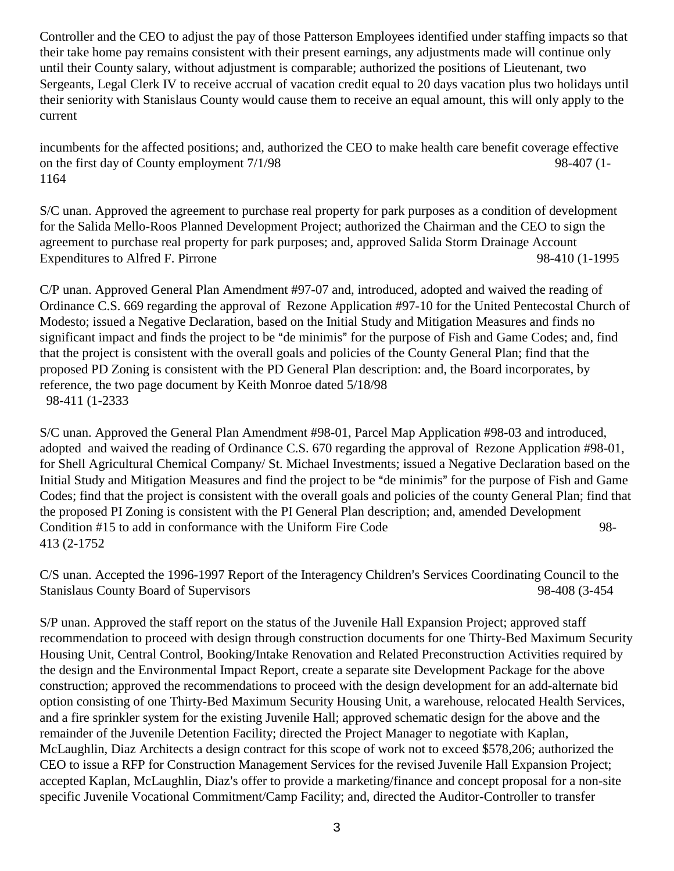Controller and the CEO to adjust the pay of those Patterson Employees identified under staffing impacts so that their take home pay remains consistent with their present earnings, any adjustments made will continue only until their County salary, without adjustment is comparable; authorized the positions of Lieutenant, two Sergeants, Legal Clerk IV to receive accrual of vacation credit equal to 20 days vacation plus two holidays until their seniority with Stanislaus County would cause them to receive an equal amount, this will only apply to the current

incumbents for the affected positions; and, authorized the CEO to make health care benefit coverage effective on the first day of County employment  $7/1/98$  98-407 (1-1164

S/C unan. Approved the agreement to purchase real property for park purposes as a condition of development for the Salida Mello-Roos Planned Development Project; authorized the Chairman and the CEO to sign the agreement to purchase real property for park purposes; and, approved Salida Storm Drainage Account Expenditures to Alfred F. Pirrone 98-410 (1-1995

C/P unan. Approved General Plan Amendment #97-07 and, introduced, adopted and waived the reading of Ordinance C.S. 669 regarding the approval of Rezone Application #97-10 for the United Pentecostal Church of Modesto; issued a Negative Declaration, based on the Initial Study and Mitigation Measures and finds no significant impact and finds the project to be "de minimis" for the purpose of Fish and Game Codes; and, find that the project is consistent with the overall goals and policies of the County General Plan; find that the proposed PD Zoning is consistent with the PD General Plan description: and, the Board incorporates, by reference, the two page document by Keith Monroe dated 5/18/98 98-411 (1-2333

S/C unan. Approved the General Plan Amendment #98-01, Parcel Map Application #98-03 and introduced, adopted and waived the reading of Ordinance C.S. 670 regarding the approval of Rezone Application #98-01, for Shell Agricultural Chemical Company/ St. Michael Investments; issued a Negative Declaration based on the Initial Study and Mitigation Measures and find the project to be "de minimis" for the purpose of Fish and Game Codes; find that the project is consistent with the overall goals and policies of the county General Plan; find that the proposed PI Zoning is consistent with the PI General Plan description; and, amended Development Condition #15 to add in conformance with the Uniform Fire Code 98-413 (2-1752

C/S unan. Accepted the 1996-1997 Report of the Interagency Children's Services Coordinating Council to the Stanislaus County Board of Supervisors 98-408 (3-454

S/P unan. Approved the staff report on the status of the Juvenile Hall Expansion Project; approved staff recommendation to proceed with design through construction documents for one Thirty-Bed Maximum Security Housing Unit, Central Control, Booking/Intake Renovation and Related Preconstruction Activities required by the design and the Environmental Impact Report, create a separate site Development Package for the above construction; approved the recommendations to proceed with the design development for an add-alternate bid option consisting of one Thirty-Bed Maximum Security Housing Unit, a warehouse, relocated Health Services, and a fire sprinkler system for the existing Juvenile Hall; approved schematic design for the above and the remainder of the Juvenile Detention Facility; directed the Project Manager to negotiate with Kaplan, McLaughlin, Diaz Architects a design contract for this scope of work not to exceed \$578,206; authorized the CEO to issue a RFP for Construction Management Services for the revised Juvenile Hall Expansion Project; accepted Kaplan, McLaughlin, Diaz's offer to provide a marketing/finance and concept proposal for a non-site specific Juvenile Vocational Commitment/Camp Facility; and, directed the Auditor-Controller to transfer